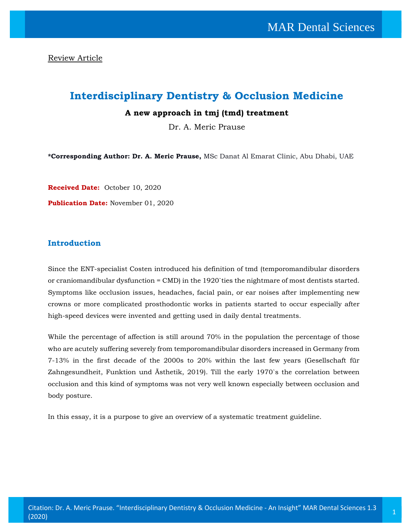Review Article

# **Interdisciplinary Dentistry & Occlusion Medicine**

### **A new approach in tmj (tmd) treatment**

Dr. A. Meric Prause

**\*Corresponding Author: Dr. A. Meric Prause,** MSc Danat Al Emarat Clinic, Abu Dhabi, UAE

**Received Date:** October 10, 2020

**Publication Date:** November 01, 2020

# **Introduction**

Since the ENT-specialist Costen introduced his definition of tmd (temporomandibular disorders or craniomandibular dysfunction = CMD) in the 1920`ties the nightmare of most dentists started. Symptoms like occlusion issues, headaches, facial pain, or ear noises after implementing new crowns or more complicated prosthodontic works in patients started to occur especially after high-speed devices were invented and getting used in daily dental treatments.

While the percentage of affection is still around 70% in the population the percentage of those who are acutely suffering severely from temporomandibular disorders increased in Germany from 7-13% in the first decade of the 2000s to 20% within the last few years (Gesellschaft für Zahngesundheit, Funktion und Ästhetik, 2019). Till the early 1970`s the correlation between occlusion and this kind of symptoms was not very well known especially between occlusion and body posture.

In this essay, it is a purpose to give an overview of a systematic treatment guideline.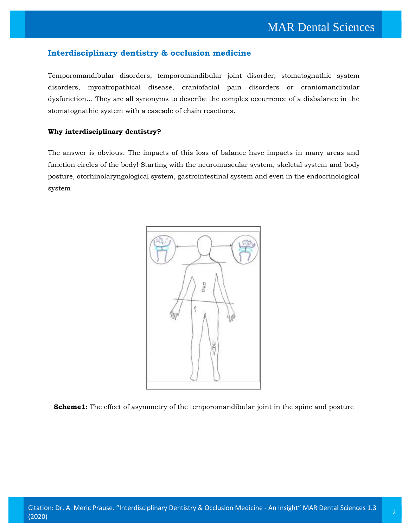# **Interdisciplinary dentistry & occlusion medicine**

Temporomandibular disorders, temporomandibular joint disorder, stomatognathic system disorders, myoatropathical disease, craniofacial pain disorders or craniomandibular dysfunction… They are all synonyms to describe the complex occurrence of a disbalance in the stomatognathic system with a cascade of chain reactions.

#### **Why interdisciplinary dentistry?**

The answer is obvious: The impacts of this loss of balance have impacts in many areas and function circles of the body! Starting with the neuromuscular system, skeletal system and body posture, otorhinolaryngological system, gastrointestinal system and even in the endocrinological system



**Scheme1:** The effect of asymmetry of the temporomandibular joint in the spine and posture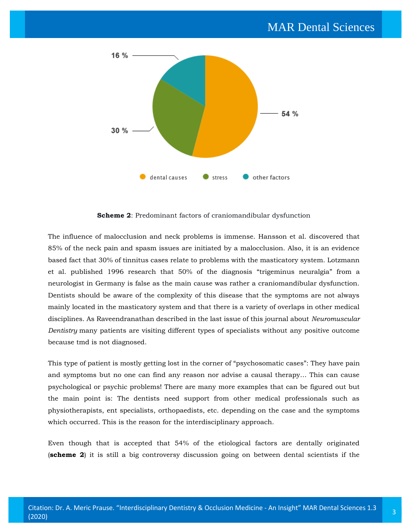

**Scheme 2**: Predominant factors of craniomandibular dysfunction

The influence of malocclusion and neck problems is immense. Hansson et al. discovered that 85% of the neck pain and spasm issues are initiated by a malocclusion. Also, it is an evidence based fact that 30% of tinnitus cases relate to problems with the masticatory system. Lotzmann et al. published 1996 research that 50% of the diagnosis "trigeminus neuralgia" from a neurologist in Germany is false as the main cause was rather a craniomandibular dysfunction. Dentists should be aware of the complexity of this disease that the symptoms are not always mainly located in the masticatory system and that there is a variety of overlaps in other medical disciplines. As Raveendranathan described in the last issue of this journal about *Neuromuscular Dentistry* many patients are visiting different types of specialists without any positive outcome because tmd is not diagnosed.

This type of patient is mostly getting lost in the corner of "psychosomatic cases": They have pain and symptoms but no one can find any reason nor advise a causal therapy… This can cause psychological or psychic problems! There are many more examples that can be figured out but the main point is: The dentists need support from other medical professionals such as physiotherapists, ent specialists, orthopaedists, etc. depending on the case and the symptoms which occurred. This is the reason for the interdisciplinary approach.

Even though that is accepted that 54% of the etiological factors are dentally originated (**scheme 2**) it is still a big controversy discussion going on between dental scientists if the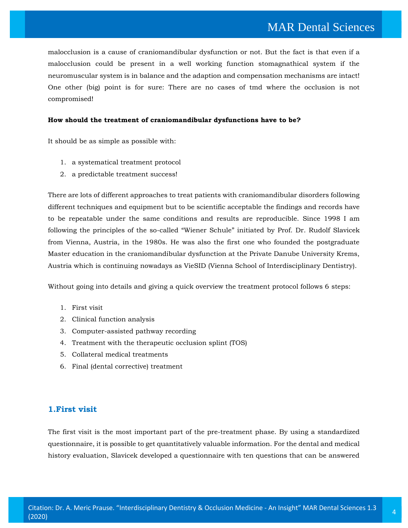malocclusion is a cause of craniomandibular dysfunction or not. But the fact is that even if a malocclusion could be present in a well working function stomagnathical system if the neuromuscular system is in balance and the adaption and compensation mechanisms are intact! One other (big) point is for sure: There are no cases of tmd where the occlusion is not compromised!

#### **How should the treatment of craniomandibular dysfunctions have to be?**

It should be as simple as possible with:

- 1. a systematical treatment protocol
- 2. a predictable treatment success!

There are lots of different approaches to treat patients with craniomandibular disorders following different techniques and equipment but to be scientific acceptable the findings and records have to be repeatable under the same conditions and results are reproducible. Since 1998 I am following the principles of the so-called "Wiener Schule" initiated by Prof. Dr. Rudolf Slavicek from Vienna, Austria, in the 1980s. He was also the first one who founded the postgraduate Master education in the craniomandibular dysfunction at the Private Danube University Krems, Austria which is continuing nowadays as VieSID (Vienna School of Interdisciplinary Dentistry).

Without going into details and giving a quick overview the treatment protocol follows 6 steps:

- 1. First visit
- 2. Clinical function analysis
- 3. Computer-assisted pathway recording
- 4. Treatment with the therapeutic occlusion splint (TOS)
- 5. Collateral medical treatments
- 6. Final (dental corrective) treatment

# **1.First visit**

The first visit is the most important part of the pre-treatment phase. By using a standardized questionnaire, it is possible to get quantitatively valuable information. For the dental and medical history evaluation, Slavicek developed a questionnaire with ten questions that can be answered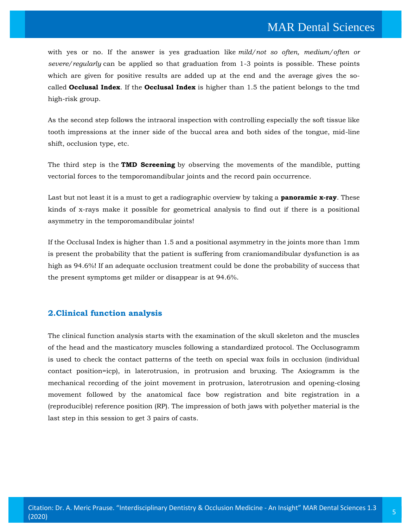with yes or no. If the answer is yes graduation like *mild/not so often, medium/often or severe/regularly* can be applied so that graduation from 1-3 points is possible. These points which are given for positive results are added up at the end and the average gives the socalled **Occlusal Index**. If the **Occlusal Index** is higher than 1.5 the patient belongs to the tmd high-risk group.

As the second step follows the intraoral inspection with controlling especially the soft tissue like tooth impressions at the inner side of the buccal area and both sides of the tongue, mid-line shift, occlusion type, etc.

The third step is the **TMD Screening** by observing the movements of the mandible, putting vectorial forces to the temporomandibular joints and the record pain occurrence.

Last but not least it is a must to get a radiographic overview by taking a **panoramic x-ray**. These kinds of x-rays make it possible for geometrical analysis to find out if there is a positional asymmetry in the temporomandibular joints!

If the Occlusal Index is higher than 1.5 and a positional asymmetry in the joints more than 1mm is present the probability that the patient is suffering from craniomandibular dysfunction is as high as 94.6%! If an adequate occlusion treatment could be done the probability of success that the present symptoms get milder or disappear is at 94.6%.

#### **2.Clinical function analysis**

The clinical function analysis starts with the examination of the skull skeleton and the muscles of the head and the masticatory muscles following a standardized protocol. The Occlusogramm is used to check the contact patterns of the teeth on special wax foils in occlusion (individual contact position=icp), in laterotrusion, in protrusion and bruxing. The Axiogramm is the mechanical recording of the joint movement in protrusion, laterotrusion and opening-closing movement followed by the anatomical face bow registration and bite registration in a (reproducible) reference position (RP). The impression of both jaws with polyether material is the last step in this session to get 3 pairs of casts.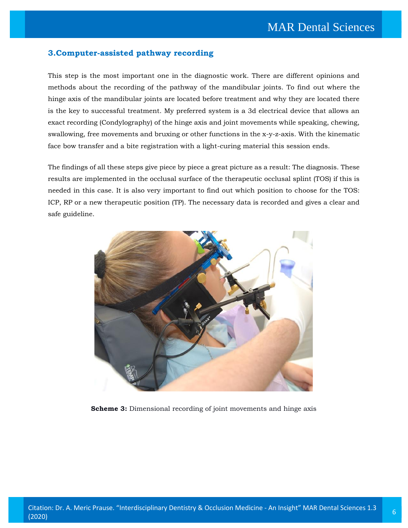### **3.Computer-assisted pathway recording**

This step is the most important one in the diagnostic work. There are different opinions and methods about the recording of the pathway of the mandibular joints. To find out where the hinge axis of the mandibular joints are located before treatment and why they are located there is the key to successful treatment. My preferred system is a 3d electrical device that allows an exact recording (Condylography) of the hinge axis and joint movements while speaking, chewing, swallowing, free movements and bruxing or other functions in the x-y-z-axis. With the kinematic face bow transfer and a bite registration with a light-curing material this session ends.

The findings of all these steps give piece by piece a great picture as a result: The diagnosis. These results are implemented in the occlusal surface of the therapeutic occlusal splint (TOS) if this is needed in this case. It is also very important to find out which position to choose for the TOS: ICP, RP or a new therapeutic position (TP). The necessary data is recorded and gives a clear and safe guideline.



**Scheme 3:** Dimensional recording of joint movements and hinge axis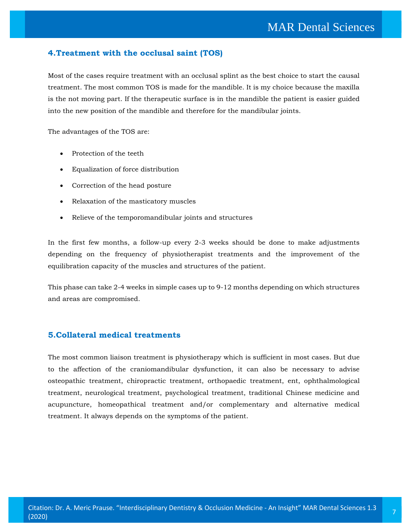# **4.Treatment with the occlusal saint (TOS)**

Most of the cases require treatment with an occlusal splint as the best choice to start the causal treatment. The most common TOS is made for the mandible. It is my choice because the maxilla is the not moving part. If the therapeutic surface is in the mandible the patient is easier guided into the new position of the mandible and therefore for the mandibular joints.

The advantages of the TOS are:

- Protection of the teeth
- Equalization of force distribution
- Correction of the head posture
- Relaxation of the masticatory muscles
- Relieve of the temporomandibular joints and structures

In the first few months, a follow-up every 2-3 weeks should be done to make adjustments depending on the frequency of physiotherapist treatments and the improvement of the equilibration capacity of the muscles and structures of the patient.

This phase can take 2-4 weeks in simple cases up to 9-12 months depending on which structures and areas are compromised.

# **5.Collateral medical treatments**

The most common liaison treatment is physiotherapy which is sufficient in most cases. But due to the affection of the craniomandibular dysfunction, it can also be necessary to advise osteopathic treatment, chiropractic treatment, orthopaedic treatment, ent, ophthalmological treatment, neurological treatment, psychological treatment, traditional Chinese medicine and acupuncture, homeopathical treatment and/or complementary and alternative medical treatment. It always depends on the symptoms of the patient.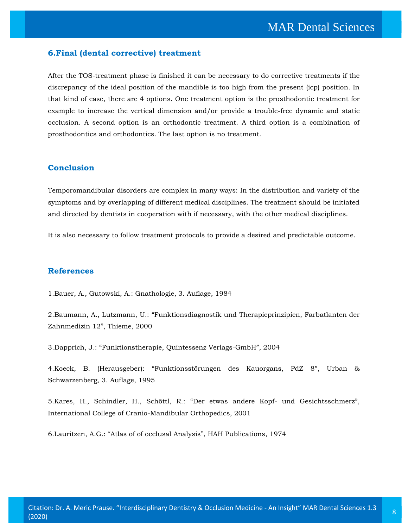#### **6.Final (dental corrective) treatment**

After the TOS-treatment phase is finished it can be necessary to do corrective treatments if the discrepancy of the ideal position of the mandible is too high from the present (icp) position. In that kind of case, there are 4 options. One treatment option is the prosthodontic treatment for example to increase the vertical dimension and/or provide a trouble-free dynamic and static occlusion. A second option is an orthodontic treatment. A third option is a combination of prosthodontics and orthodontics. The last option is no treatment.

#### **Conclusion**

Temporomandibular disorders are complex in many ways: In the distribution and variety of the symptoms and by overlapping of different medical disciplines. The treatment should be initiated and directed by dentists in cooperation with if necessary, with the other medical disciplines.

It is also necessary to follow treatment protocols to provide a desired and predictable outcome.

#### **References**

1.Bauer, A., Gutowski, A.: Gnathologie, 3. Auflage, 1984

2.Baumann, A., Lutzmann, U.: "[Funktionsdiagnostik und Therapieprinzipien, Farbatlanten der](https://www.google.com/search?q=Funktionsdiagnostik+und+Therapieprinzipien%2C+Farbatlanten+der+Zahnmedizin+12&oq=Funktionsdiagnostik+und+Therapieprinzipien%2C+Farbatlanten+der+Zahnmedizin+12&aqs=chrome..69i57.909j0j7&sourceid=chrome&ie=UTF-8)  [Zahnmedizin 12](https://www.google.com/search?q=Funktionsdiagnostik+und+Therapieprinzipien%2C+Farbatlanten+der+Zahnmedizin+12&oq=Funktionsdiagnostik+und+Therapieprinzipien%2C+Farbatlanten+der+Zahnmedizin+12&aqs=chrome..69i57.909j0j7&sourceid=chrome&ie=UTF-8)", Thieme, 2000

3.Dapprich, J.: "[Funktionstherapie, Quintessenz Verlags-GmbH](https://www.google.com/search?q=Funktionstherapie%2C+Quintessenz+Verlags-GmbH&oq=Funktionstherapie%2C+Quintessenz+Verlags-GmbH&aqs=chrome..69i57.979j0j4&sourceid=chrome&ie=UTF-8)", 2004

4.Koeck, B. (Herausgeber): "[Funktionsstörungen des Kauorgans, PdZ 8](https://www.google.com/search?sxsrf=ALeKk02ZfnD7WctP48aqsicSJkTXQspETg%3A1602675432689&ei=6OKGX4vKKauT4-EP1rWfKA&q=Funktionsst%C3%B6rungen+des+Kauorgans%2C+PdZ+8&oq=Funktionsst%C3%B6rungen+des+Kauorgans%2C+PdZ+8&gs_lcp=CgZwc3ktYWIQAzIFCCEQoAE6BwgjEOoCECc6CQgjEOoCECcQE1CJlQJYiZUCYLCZAmgBcAB4AIAB5AGIAeQBkgEDMi0xmAEAoAEBoAECqgEHZ3dzLXdperABCsABAQ&sclient=psy-ab&ved=0ahUKEwiL3uue_7PsAhWryTgGHdbaBwUQ4dUDCA0&uact=5)", Urban & [Schwarzenberg, 3. Auflage, 1995](https://www.google.com/search?sxsrf=ALeKk02ZfnD7WctP48aqsicSJkTXQspETg%3A1602675432689&ei=6OKGX4vKKauT4-EP1rWfKA&q=Funktionsst%C3%B6rungen+des+Kauorgans%2C+PdZ+8&oq=Funktionsst%C3%B6rungen+des+Kauorgans%2C+PdZ+8&gs_lcp=CgZwc3ktYWIQAzIFCCEQoAE6BwgjEOoCECc6CQgjEOoCECcQE1CJlQJYiZUCYLCZAmgBcAB4AIAB5AGIAeQBkgEDMi0xmAEAoAEBoAECqgEHZ3dzLXdperABCsABAQ&sclient=psy-ab&ved=0ahUKEwiL3uue_7PsAhWryTgGHdbaBwUQ4dUDCA0&uact=5)

5[.Kares, H., Schindler, H., Schöttl, R.:](https://www.google.com/search?sxsrf=ALeKk00OtNbg_QumFoY6i32LJL2YiB3JfQ%3A1602675470971&ei=DuOGX53uOv2N4-EPlZal2A8&q=Der+etwas+andere+Kopf-+und+Gesichtsschmerz&oq=Der+etwas+andere+Kopf-+und+Gesichtsschmerz&gs_lcp=CgZwc3ktYWIQAzIHCAAQyQMQEzoHCCMQ6gIQJzoJCCMQ6gIQJxATSgUIJhIBbkoFCCcSATFQvoUCWL6FAmDPjQJoAXAAeACAAYgBiAGIAZIBAzAuMZgBAKABAaABAqoBB2d3cy13aXqwAQrAAQE&sclient=psy-ab&ved=0ahUKEwidrYyx_7PsAhX9xjgGHRVLCfsQ4dUDCA0&uact=5) "Der etwas andere Kopf- und Gesichtsschmerz", [International College of Cranio-Mandibular Orthopedics, 2001](https://www.google.com/search?sxsrf=ALeKk00OtNbg_QumFoY6i32LJL2YiB3JfQ%3A1602675470971&ei=DuOGX53uOv2N4-EPlZal2A8&q=Der+etwas+andere+Kopf-+und+Gesichtsschmerz&oq=Der+etwas+andere+Kopf-+und+Gesichtsschmerz&gs_lcp=CgZwc3ktYWIQAzIHCAAQyQMQEzoHCCMQ6gIQJzoJCCMQ6gIQJxATSgUIJhIBbkoFCCcSATFQvoUCWL6FAmDPjQJoAXAAeACAAYgBiAGIAZIBAzAuMZgBAKABAaABAqoBB2d3cy13aXqwAQrAAQE&sclient=psy-ab&ved=0ahUKEwidrYyx_7PsAhX9xjgGHRVLCfsQ4dUDCA0&uact=5)

6.Lauritzen, A.G.: "[Atlas of of occlusal Analysis](https://www.google.com/search?sxsrf=ALeKk02-wzroC0fTBe7PNCfdaJ6aZ6rm1g%3A1602675506566&ei=MuOGX9mLIsyW4-EPhKaJ2AE&q=Atlas+of+of+occlusal+Analysis&oq=Atlas+of+of+occlusal+Analysis&gs_lcp=CgZwc3ktYWIQAzIFCCEQoAE6BwgjEOoCECc6CQgjEOoCECcQE1DA7AFYwOwBYIvwAWgBcAB4AIABnAGIAZwBkgEDMC4xmAEAoAEBoAECqgEHZ3dzLXdperABCsABAQ&sclient=psy-ab&ved=0ahUKEwjZ7IjC_7PsAhVMyzgGHQRTAhsQ4dUDCA0&uact=5)", HAH Publications, 1974